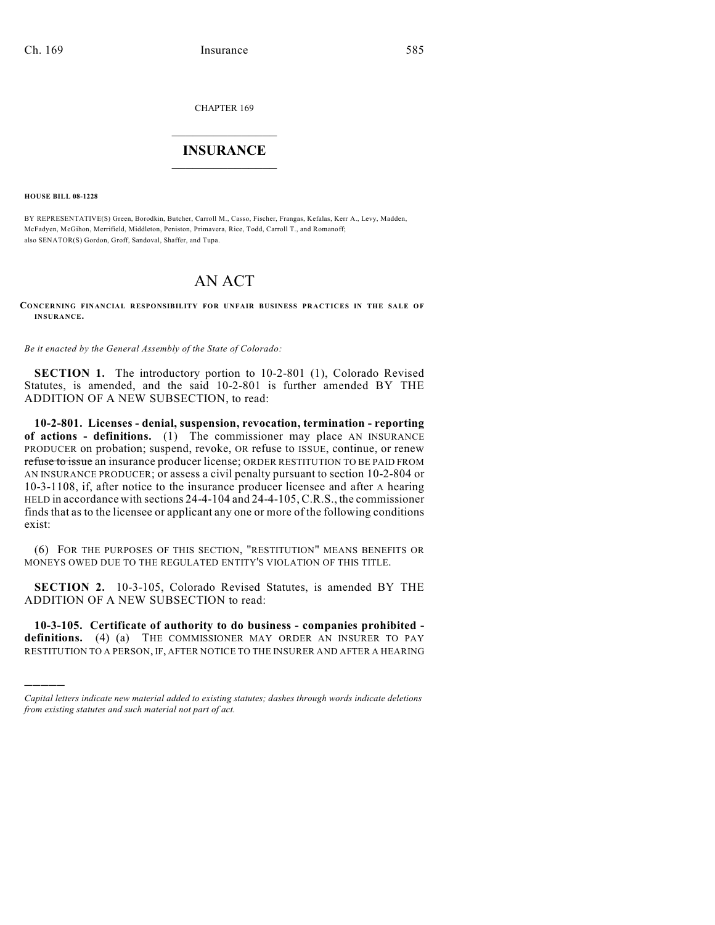CHAPTER 169

## $\overline{\phantom{a}}$  . The set of the set of the set of the set of the set of the set of the set of the set of the set of the set of the set of the set of the set of the set of the set of the set of the set of the set of the set o **INSURANCE**  $\frac{1}{2}$  ,  $\frac{1}{2}$  ,  $\frac{1}{2}$  ,  $\frac{1}{2}$  ,  $\frac{1}{2}$  ,  $\frac{1}{2}$  ,  $\frac{1}{2}$

**HOUSE BILL 08-1228**

)))))

BY REPRESENTATIVE(S) Green, Borodkin, Butcher, Carroll M., Casso, Fischer, Frangas, Kefalas, Kerr A., Levy, Madden, McFadyen, McGihon, Merrifield, Middleton, Peniston, Primavera, Rice, Todd, Carroll T., and Romanoff; also SENATOR(S) Gordon, Groff, Sandoval, Shaffer, and Tupa.

## AN ACT

**CONCERNING FINANCIAL RESPONSIBILITY FOR UNFAIR BUSINESS PRACTICES IN THE SALE OF INSURANCE.**

*Be it enacted by the General Assembly of the State of Colorado:*

**SECTION 1.** The introductory portion to 10-2-801 (1), Colorado Revised Statutes, is amended, and the said 10-2-801 is further amended BY THE ADDITION OF A NEW SUBSECTION, to read:

**10-2-801. Licenses - denial, suspension, revocation, termination - reporting of actions - definitions.** (1) The commissioner may place AN INSURANCE PRODUCER on probation; suspend, revoke, OR refuse to ISSUE, continue, or renew refuse to issue an insurance producer license; ORDER RESTITUTION TO BE PAID FROM AN INSURANCE PRODUCER; or assess a civil penalty pursuant to section 10-2-804 or 10-3-1108, if, after notice to the insurance producer licensee and after A hearing HELD in accordance with sections 24-4-104 and 24-4-105, C.R.S., the commissioner finds that as to the licensee or applicant any one or more of the following conditions exist:

(6) FOR THE PURPOSES OF THIS SECTION, "RESTITUTION" MEANS BENEFITS OR MONEYS OWED DUE TO THE REGULATED ENTITY'S VIOLATION OF THIS TITLE.

**SECTION 2.** 10-3-105, Colorado Revised Statutes, is amended BY THE ADDITION OF A NEW SUBSECTION to read:

**10-3-105. Certificate of authority to do business - companies prohibited definitions.** (4) (a) THE COMMISSIONER MAY ORDER AN INSURER TO PAY RESTITUTION TO A PERSON, IF, AFTER NOTICE TO THE INSURER AND AFTER A HEARING

*Capital letters indicate new material added to existing statutes; dashes through words indicate deletions from existing statutes and such material not part of act.*